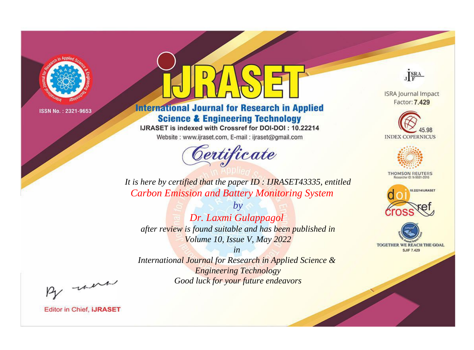

# **International Journal for Research in Applied Science & Engineering Technology**

IJRASET is indexed with Crossref for DOI-DOI: 10.22214

Website: www.ijraset.com, E-mail: ijraset@gmail.com



JERA

**ISRA Journal Impact** Factor: 7.429





**THOMSON REUTERS** 



TOGETHER WE REACH THE GOAL **SJIF 7.429** 

*It is here by certified that the paper ID : IJRASET43335, entitled Carbon Emission and Battery Monitoring System*

*by Dr. Laxmi Gulappagol after review is found suitable and has been published in Volume 10, Issue V, May 2022*

*in* 

*International Journal for Research in Applied Science & Engineering Technology Good luck for your future endeavors*

By morn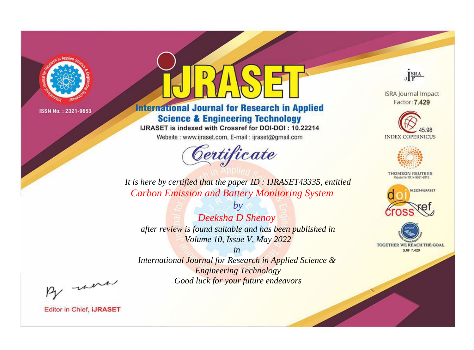

# **International Journal for Research in Applied Science & Engineering Technology**

IJRASET is indexed with Crossref for DOI-DOI: 10.22214

Website: www.ijraset.com, E-mail: ijraset@gmail.com



JERA

**ISRA Journal Impact** Factor: 7.429





**THOMSON REUTERS** 



TOGETHER WE REACH THE GOAL **SJIF 7.429** 

It is here by certified that the paper ID : IJRASET43335, entitled **Carbon Emission and Battery Monitoring System** 

Deeksha D Shenoy after review is found suitable and has been published in Volume 10, Issue V, May 2022

 $b\nu$ 

 $in$ International Journal for Research in Applied Science & **Engineering Technology** Good luck for your future endeavors

By morn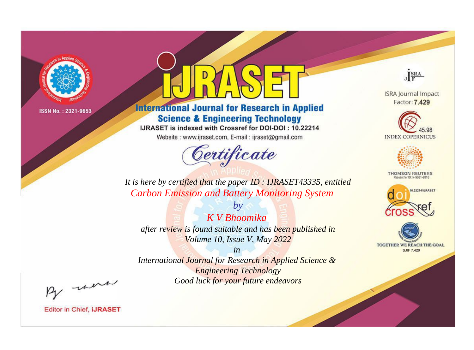

# **International Journal for Research in Applied Science & Engineering Technology**

IJRASET is indexed with Crossref for DOI-DOI: 10.22214

Website: www.ijraset.com, E-mail: ijraset@gmail.com



JERA

**ISRA Journal Impact** Factor: 7.429





**THOMSON REUTERS** 



TOGETHER WE REACH THE GOAL **SJIF 7.429** 

*It is here by certified that the paper ID : IJRASET43335, entitled Carbon Emission and Battery Monitoring System*

*K V Bhoomika after review is found suitable and has been published in Volume 10, Issue V, May 2022*

*by*

*in* 

*International Journal for Research in Applied Science & Engineering Technology Good luck for your future endeavors*

By morn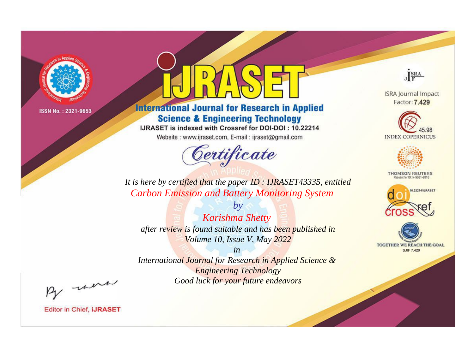

# **International Journal for Research in Applied Science & Engineering Technology**

IJRASET is indexed with Crossref for DOI-DOI: 10.22214

Website: www.ijraset.com, E-mail: ijraset@gmail.com



JERA

**ISRA Journal Impact** Factor: 7.429





**THOMSON REUTERS** 



TOGETHER WE REACH THE GOAL **SJIF 7.429** 

*It is here by certified that the paper ID : IJRASET43335, entitled Carbon Emission and Battery Monitoring System*

*by Karishma Shetty after review is found suitable and has been published in Volume 10, Issue V, May 2022*

*in* 

*International Journal for Research in Applied Science & Engineering Technology Good luck for your future endeavors*

By morn